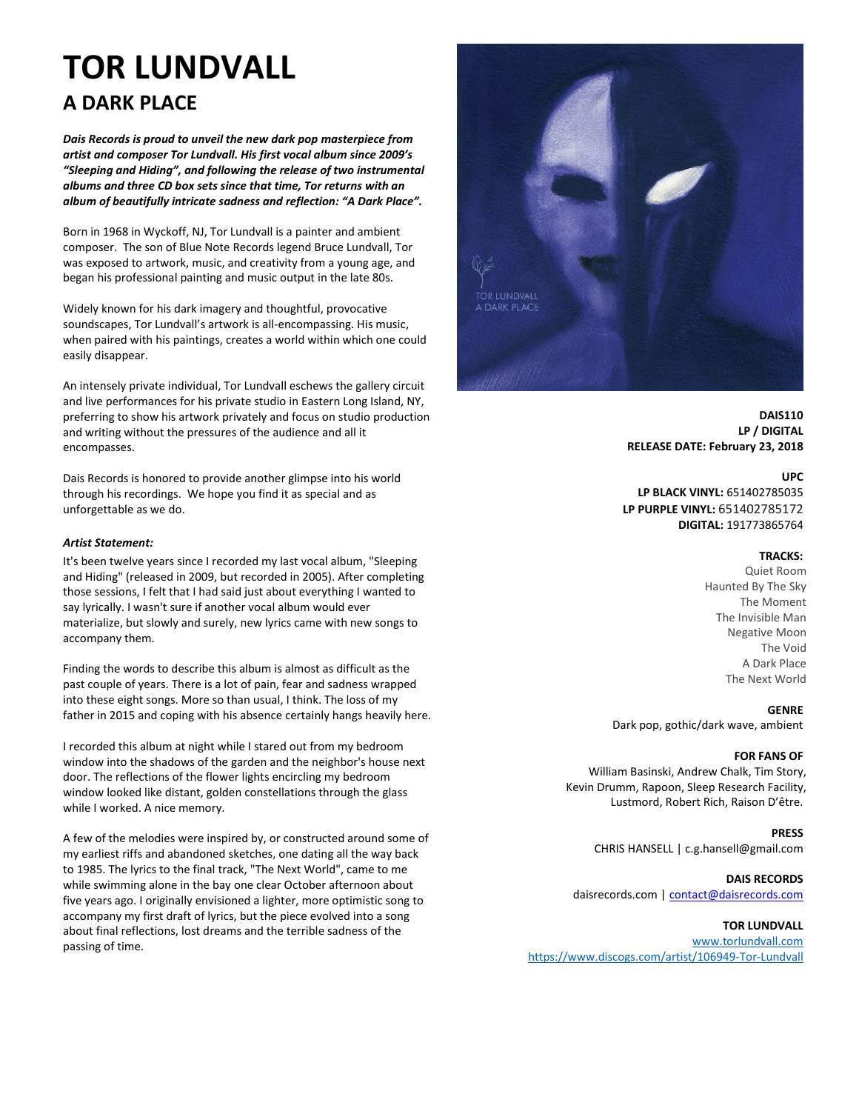# **TOR LUNDVALL A DARK PLACE**

*Dais Records is proud to unveil the new dark pop masterpiece from artist and composer Tor Lundvall. His first vocal album since 2009's "Sleeping and Hiding", and following the release of two instrumental albums and three CD box sets since that time, Tor returns with an album of beautifully intricate sadness and reflection: "A Dark Place".*

Born in 1968 in Wyckoff, NJ, Tor Lundvall is a painter and ambient composer. The son of Blue Note Records legend Bruce Lundvall, Tor was exposed to artwork, music, and creativity from a young age, and began his professional painting and music output in the late 80s.

Widely known for his dark imagery and thoughtful, provocative soundscapes, Tor Lundvall's artwork is all-encompassing. His music, when paired with his paintings, creates a world within which one could easily disappear.

An intensely private individual, Tor Lundvall eschews the gallery circuit and live performances for his private studio in Eastern Long Island, NY, preferring to show his artwork privately and focus on studio production and writing without the pressures of the audience and all it encompasses.

Dais Records is honored to provide another glimpse into his world through his recordings. We hope you find it as special and as unforgettable as we do.

## *Artist Statement:*

It's been twelve years since I recorded my last vocal album, "Sleeping and Hiding" (released in 2009, but recorded in 2005). After completing those sessions, I felt that I had said just about everything I wanted to say lyrically. I wasn't sure if another vocal album would ever materialize, but slowly and surely, new lyrics came with new songs to accompany them.

Finding the words to describe this album is almost as difficult as the past couple of years. There is a lot of pain, fear and sadness wrapped into these eight songs. More so than usual, I think. The loss of my father in 2015 and coping with his absence certainly hangs heavily here.

I recorded this album at night while I stared out from my bedroom window into the shadows of the garden and the neighbor's house next door. The reflections of the flower lights encircling my bedroom window looked like distant, golden constellations through the glass while I worked. A nice memory.

A few of the melodies were inspired by, or constructed around some of my earliest riffs and abandoned sketches, one dating all the way back to 1985. The lyrics to the final track, "The Next World", came to me while swimming alone in the bay one clear October afternoon about five years ago. I originally envisioned a lighter, more optimistic song to accompany my first draft of lyrics, but the piece evolved into a song about final reflections, lost dreams and the terrible sadness of the passing of time.



**DAIS110 LP / DIGITAL RELEASE DATE: February 23, 2018**

## **UPC**

**LP BLACK VINYL:** 651402785035 **LP PURPLE VINYL:** 651402785172 **DIGITAL:** 191773865764

### **TRACKS:**

Quiet Room Haunted By The Sky The Moment The Invisible Man Negative Moon The Void A Dark Place The Next World

#### **GENRE**

Dark pop, gothic/dark wave, ambient

#### **FOR FANS OF**

William Basinski, Andrew Chalk, Tim Story, Kevin Drumm, Rapoon, Sleep Research Facility, Lustmord, Robert Rich, Raison D'être.

# **PRESS**

CHRIS HANSELL | c.g.hansell@gmail.com

# **DAIS RECORDS**

daisrecords.com [| contact@daisrecords.com](mailto:contact@daisrecords.com)

# **TOR LUNDVALL**

[www.torlundvall.com](http://www.torlundvall.com/) <https://www.discogs.com/artist/106949-Tor-Lundvall>